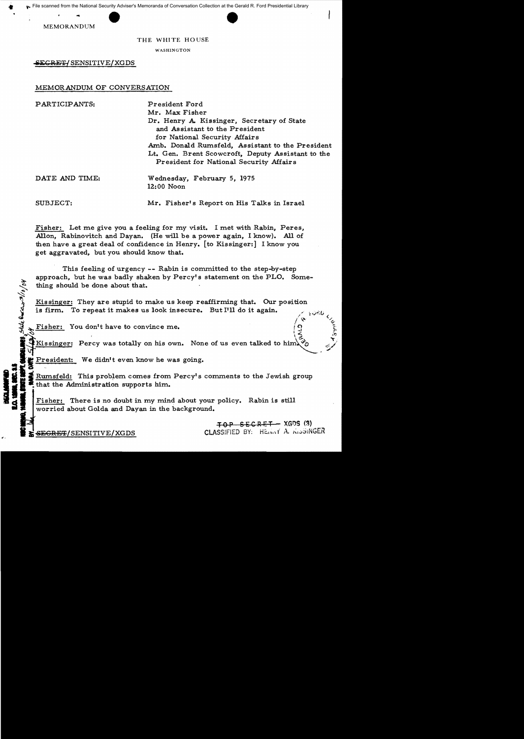



MEMORANDUM

..

# THE WHITE HOUSE

WASHINGTON

~CRE'l'{ SENSITIVE/XGDS

## MEMORANDUM OF CONVERSATION

| PARTICIPANTS:  | President Ford<br>Mr. Max Fisher                                                                              |
|----------------|---------------------------------------------------------------------------------------------------------------|
|                | Dr. Henry A. Kissinger, Secretary of State<br>and Assistant to the President<br>for National Security Affairs |
|                | Amb. Donald Rumsfeld, Assistant to the President<br>Lt. Gen. Brent Scowcroft, Deputy Assistant to the         |
|                | President for National Security Affairs                                                                       |
| DATE AND TIME: | Wednesday, February 5, 1975<br>12:00 Noon                                                                     |
| SUBJECT:       | Mr. Fisher's Report on His Talks in Israel                                                                    |

Fisher: Let me give you a feeling for my visit. I met with Rabin, Peres, Allon, Rabinovitch and Dayan. (He will be a power again, I know). All of then have a great deal of confidence in Henry. [to Kissinger:] I know you get aggravated, but you should know that.

This feeling of urgency  $--$  Rabin is committed to the step-by-step approach, but he was badly shaken by Percy's statement on the PLO. Something should be done about that.

Kissinger: They are stupid to make us keep reaffirming that. Our position is firm. To repeat it makes us look insecure. But I'll do it again.

Fisher: You don't have to convince me.

Kissinger: Percy was totally on his own. None of us even talked to him.

President: We didn't even know he was going.

 $2 \times 2$ Rumsfeld: This problem comes from Percy's comments to the Jewish group that the Administration supports him.

**d Islam**<br>**d Islam Islam**<br>**d Islam I**F Fisher: There is no doubt in my mind about your policy. Rabin is still worried about Golda and Dayan in the background.

**TOP SECRET XGDS (3)**<br>CLASSIFIED BY: HE:MAY A. KISSINGER و CLASSIFIED BY: HE:MAY A. KISSINGER

 $\frac{1}{2}$   $\frac{3}{2}$ 

State Quecess 3/10/04

**I CONTRO DE LA CARACTERA**<br>CONTROVERIDO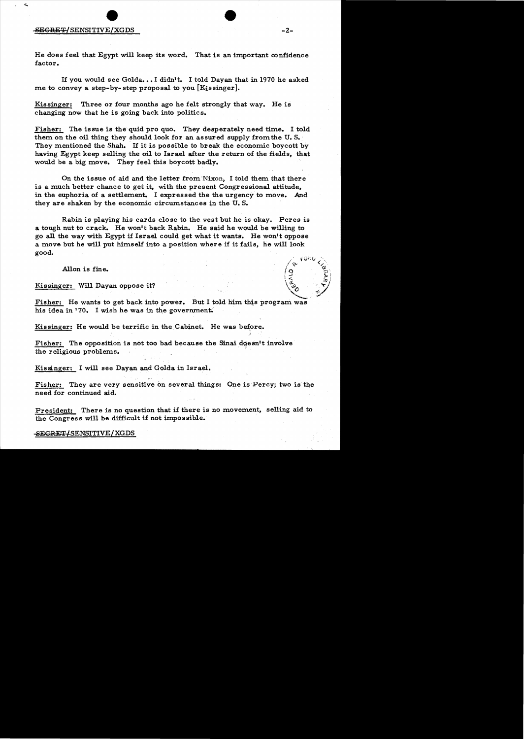#### -S<del>ECRET/</del>SENSITIVE/XGDS -2-

He does feel that Egypt will keep its word. That is an important confidence factor.

If you would see Golda...I didn't. I told Dayan that in 1970 he asked me to convey a step-by-step proposal to you [Kissinger].

Kissinger: Three or four months ago he felt strongly that way. He is changing now that he is going back into politics.

Fisher: The issue is the quid pro quo. They desperately need time. I told them on the oil thing they should look for an assured supply from the U. S•. They mentioned the Shah. If it is possible to break the economic boycott by having Egypt keep selling the oil to Israel after the return of the fields, that would be a big move. They feel this boycott badly.

On the issue of aid and the letter from Nixon, I told them that there is a much better chance to get it, with the present Congressional attitude, in the euphoria of a settlement. I expressed the the urgency to move. And they are shaken by the economic circumstances in the U. S.

Rabin is playing his cards close to the vest but he is okay. Peres is a tough nut to crack. He won't back Rabin. He said he would be willing to go all the way with Egypt if Israel could get what it wants. He won't oppose a move but he will put himself into a position where if it fails, he will look good.

Allon is fine.  $\begin{pmatrix} 0 & \sqrt{x} & \sqrt{x} \\ 0 & \sqrt{x} & \sqrt{x} \\ \frac{x}{x} & \sqrt{x} & \sqrt{x} \end{pmatrix}$ 

Kissinger: Will Dayan oppose it?<br>Fisher: He wants to get back into power. But I told him this program was his idea in '70. I wish he was in the government.

Kissinger: He would be terrific in the Cabinet. He was before.

Fisher: The opposition is not too bad because the Sinai doesn't involve the religious problems.

Kissinger: I will see Dayan and Golda in Israel.

Fisher: They are very sensitive on several things: One is Percy; two is the need for continued aid.

President: There is no question that if there is no movement, selling aid to the Congress will be difficult if not impossible.

 $-$ SEGRET/SENSITIVE/XGDS

 $\sim$  +0r,U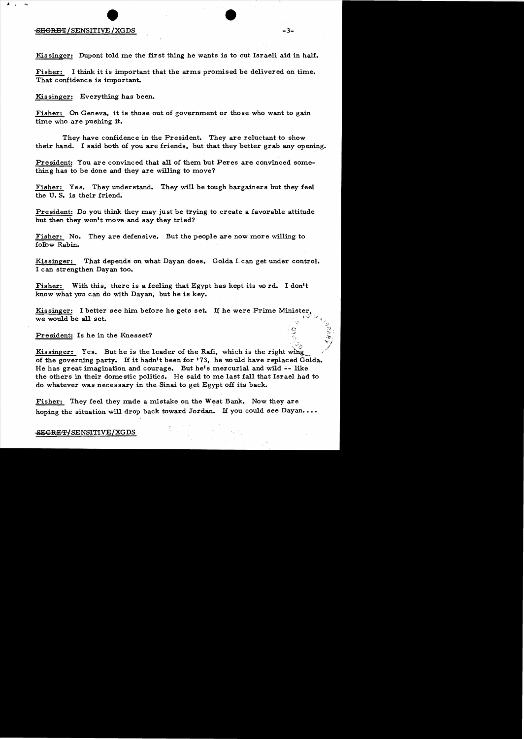## :SECRET/SENSITIVE/XGDS -3-

Kissinger: Dupont told me the first thing he wants is to cut Israeli aid in half.

Fisher: I think it is important that the arms promised be delivered on time. That confidence is important.

Kissinger: Everything has been.

Fisher: On Geneva, it is those out of government or those who want to gain time who are pushing it.

They have confidence in the President. They are reluctant to show their hand. I said both of you are friends, but that they better grab any opening.

President: You are convinced that all of them but Peres are convinced something has to be done and they are willing to move?

Fisher: Yes. They understand. They will be tough bargainers but they feel the U. S. is their friend.

President: Do you think they may just be trying to create a favorable attitude but then they won't move and say they tried?

Fisher: No. They are defensive. But the people are now more willing to folbw Rabin.

Kissinger: That depends on what Dayan does. Golda Lcan get under control. I can strengthen Dayan too.

Fisher: With this, there is a feeling that Egypt has kept its word. I don't know what you can do with Dayan, but he is key.

Kissinger: I better see him before he gets set. If he were Prime Minister  $1$  ,  $1$  ,  $1$ we would be all set.

President: Is he in the Knesset?

Kissinger: Yes. But he is the leader of the Rafi, which is the right wing of the governing party. If it hadn't been for '73, he would have replaced Golda. He has great imagination and courage. But he's mercurial and wild **--** like the others in their domestic politics. He said to me last fall that Israel had to do whatever was necessary in the Sinai to get Egypt off its back.

Fisher: They feel they made a mistake on the West Bank. Now they are hoping the situation will drop back toward Jordan. If you could see Dayan....

#### SEGRET/SENSITIVE/XGDS

.", *';:D*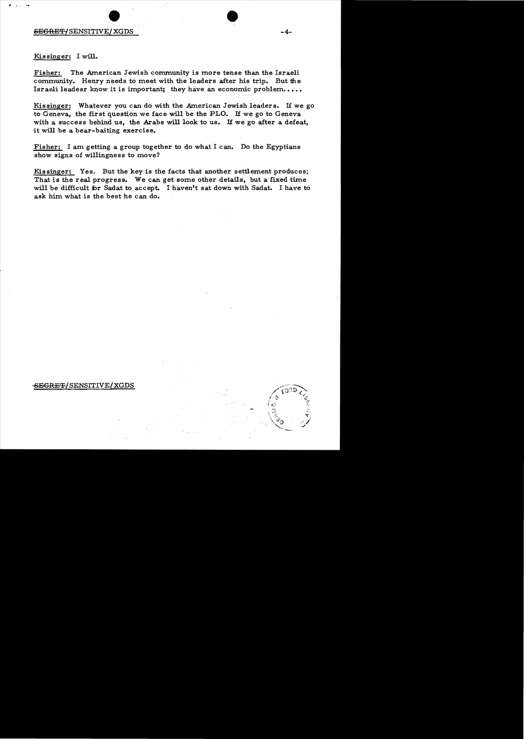# Kis singer: I will.

;. ...<sup>~</sup>

Fisher: The American Jewish community is more tense than the Israeli community. Henry needs to meet with the leaders after his trip. But the Israeli leadesr know it is important; they have an economic problem....

Kissinger: Whatever you can do with the American Jewish leaders. If we go to Geneva, the first question we face will be the PLO. If we go to Geneva with a success behind us, the Arabs will look to us. If we go after a defeat, it will be a bear-baiting exercise.

Fisher: I am getting a group together to do what I can. Do the Egyptians show signs of willingness to move?

Kis singer: Yes. But the key is the facts that another settlement produces; That is the real progress. We can get some other details, but a fixed time will be difficult for Sadat to accept. I haven't sat down with Sadat. I have to ask him what is the best he can do.

#### <del>SEGRET</del>/SENSITIVE/XGDS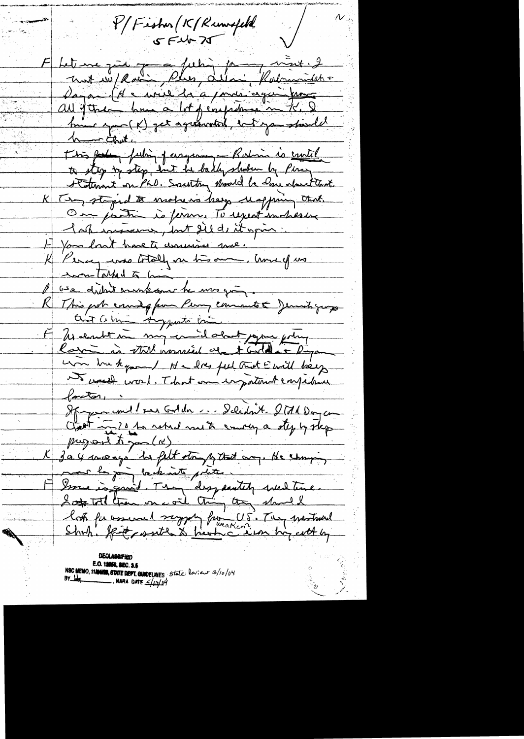P/Fisher (K/Runwofeld  $554525$ E Letture qui paux james merit 2 Dagan (A = write da a / male again france hui apres (x) pet aquannois, ent you speed King forte pubin passang - Ration is crutil to stop my step, and in bally slowler by Pira Statement on PhO. Southy should be done about that K Ten stepid to motion bey unppring that. On partir is fermer To repeat in here lak increme, but did it give Et pour lont have te assurées me. K Percy was totally in his own, there of us won Talked to hi le vie didn't montesour he mes qui This pot count of for Perry comments & Jemisty younges ait a min Ayents bin F 24 eaubrie my en il dont jour soit um buhquel Nelsey ful trut Ewill bey that was that and impatint employed  $\sqrt{arctan}$ If you und 1 rue Golden ... Deladait. 2011 Doycen Gest in 10 ho which with enough oty y skep 304 marso he felt story y that any. He changing Ssome is gon't. They disg switch were time. look for assumed supply from U.S. They martined

**E.O. 12058, 2EC. 2.5**<br>NBC MEMO, 11**/10000, 8TATE DEPT. GUIDELINES** State leview 3/10/04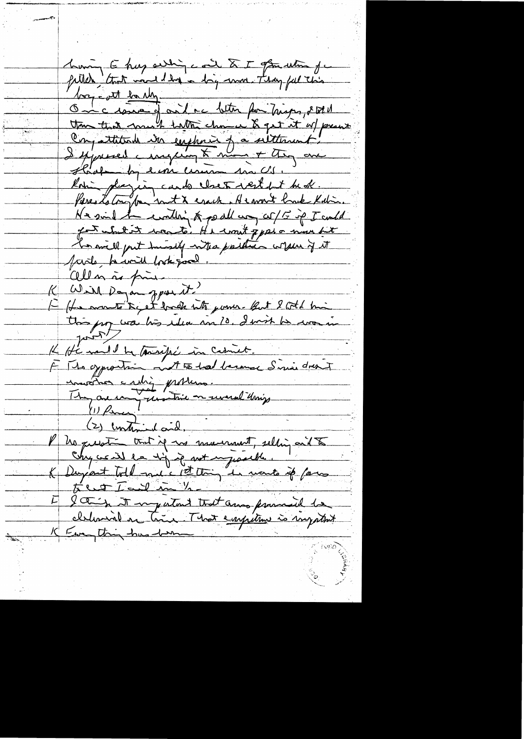huning E huy auching coint & I generation for<br>filled that more day a drig work. They fell this boy - ott banky On cise de de la better pour trisper, it et et than that much hall chance & get it of present Conjutation in emphasis of a seltement. I sepresed a inspering to mine + they are Staat by eine ceremon son CS. Kori plazien cardo claro rest pt bede. Pereststoryton in the erack. He won't have Kalin. Ne sind the content of podlary of 15 ip I could for whit it was to. He won't pper a nun bit has will put hissly who parties when if it farite him took good allen às fine Will Dayan ppar it! E (Le monté de et horde nts june les 2001 his K He mil le tourifié in Cesnet.<br>È The opportuing mot to had become Similation union entier province. No question that if no mumment, selling and to K Duyant till me s'il de met injustite. la in it my intend that and presented to Europting town them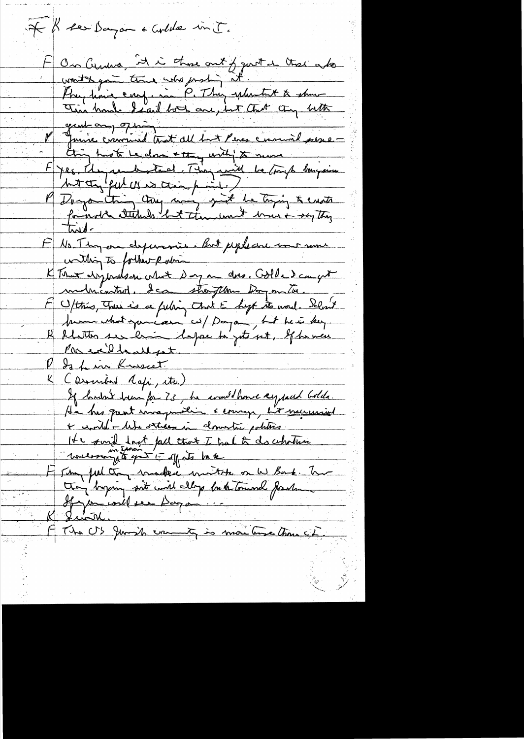If I see Dayon + Colde in T. F On Genera, It is those out of gout a that who Physicia engenie P. They extent to the thing hast he close a thing with the move F yes, den anderstand. They will be transportered the seattle F No. Thy on dependant But pepleare une nous within to forthemp whin KTomex disponds on colored day on does. Colda dam get multicatrol, dean straitement day on tor. M C/this, There is a feeling that E hopt to word. Selon't prome what you can us payan, but here key Il flatter ser him depose to jet set, If he were Parcelledest. P da him Kneet (Discribed Agpi, etc.) If hushed here for 73, he would have sy just bolds. + control - life ortression domination politics It will lost fall that I had to do whather "were my to yet i off its bake F sur jul ton madeci montre on W Bank. Two troi bynning soit court My bute toursel fasten F The US Junio emmet, is montance tome le